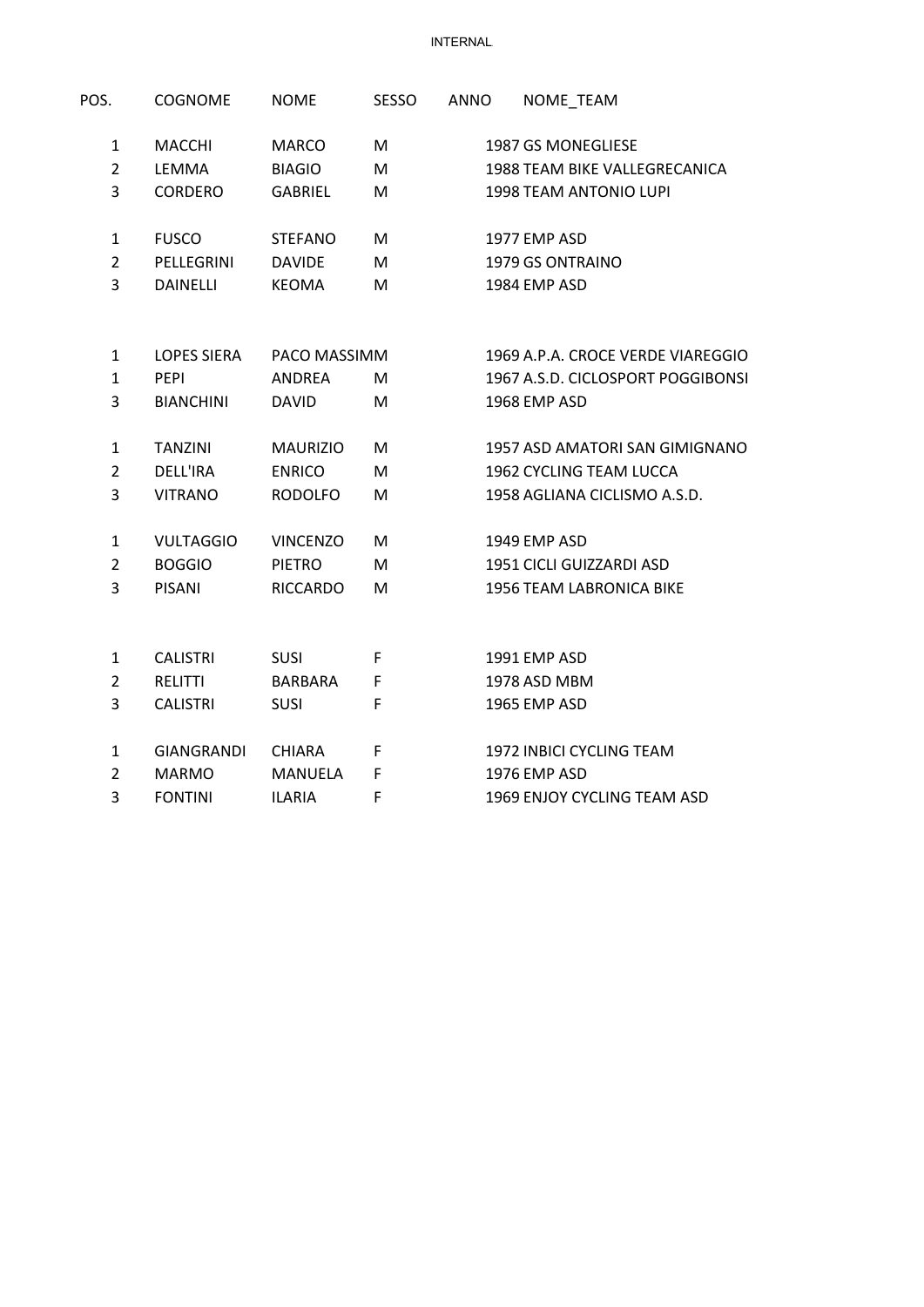**INTERNAL** 

| POS.           | <b>COGNOME</b>    | <b>NOME</b>     | <b>SESSO</b> | <b>ANNO</b> | NOME_TEAM                            |
|----------------|-------------------|-----------------|--------------|-------------|--------------------------------------|
| $\mathbf{1}$   | <b>MACCHI</b>     | <b>MARCO</b>    | M            |             | 1987 GS MONEGLIESE                   |
| $\overline{2}$ | LEMMA             | <b>BIAGIO</b>   | M            |             | <b>1988 TEAM BIKE VALLEGRECANICA</b> |
| 3              | CORDERO           | <b>GABRIEL</b>  | M            |             | 1998 TEAM ANTONIO LUPI               |
| $\mathbf{1}$   | <b>FUSCO</b>      | <b>STEFANO</b>  | м            |             | 1977 EMP ASD                         |
| $\overline{2}$ | PELLEGRINI        | <b>DAVIDE</b>   | M            |             | 1979 GS ONTRAINO                     |
| 3              | <b>DAINELLI</b>   | <b>KEOMA</b>    | M            |             | 1984 EMP ASD                         |
| 1              | LOPES SIERA       | PACO MASSIMM    |              |             | 1969 A.P.A. CROCE VERDE VIAREGGIO    |
| $\mathbf{1}$   | <b>PEPI</b>       | ANDREA          | м            |             | 1967 A.S.D. CICLOSPORT POGGIBONSI    |
| 3              | <b>BIANCHINI</b>  | <b>DAVID</b>    | M            |             | 1968 EMP ASD                         |
| 1              | <b>TANZINI</b>    | <b>MAURIZIO</b> | M            |             | 1957 ASD AMATORI SAN GIMIGNANO       |
| $\overline{2}$ | <b>DELL'IRA</b>   | <b>ENRICO</b>   | M            |             | 1962 CYCLING TEAM LUCCA              |
| 3              | <b>VITRANO</b>    | <b>RODOLFO</b>  | M            |             | 1958 AGLIANA CICLISMO A.S.D.         |
| 1              | <b>VULTAGGIO</b>  | <b>VINCENZO</b> | м            |             | 1949 EMP ASD                         |
| $\overline{2}$ | <b>BOGGIO</b>     | <b>PIETRO</b>   | M            |             | 1951 CICLI GUIZZARDI ASD             |
| 3              | <b>PISANI</b>     | <b>RICCARDO</b> | M            |             | 1956 TEAM LABRONICA BIKE             |
| 1              | <b>CALISTRI</b>   | SUSI            | F            |             | 1991 EMP ASD                         |
| $\overline{2}$ | <b>RELITTI</b>    | <b>BARBARA</b>  | F            |             | 1978 ASD MBM                         |
| 3              | <b>CALISTRI</b>   | <b>SUSI</b>     | F            |             | 1965 EMP ASD                         |
| 1              | <b>GIANGRANDI</b> | <b>CHIARA</b>   | F            |             | 1972 INBICI CYCLING TEAM             |
| $\overline{2}$ | <b>MARMO</b>      | <b>MANUELA</b>  | F            |             | 1976 EMP ASD                         |
| 3              | <b>FONTINI</b>    | <b>ILARIA</b>   | F            |             | 1969 ENJOY CYCLING TEAM ASD          |